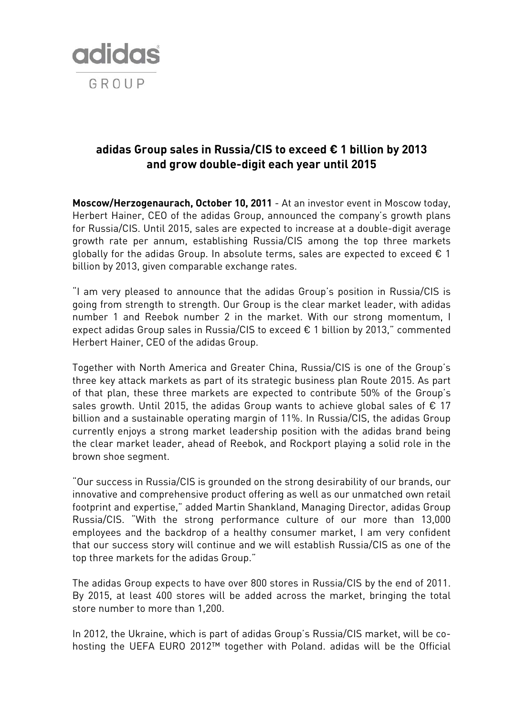

## **adidas Group sales in Russia/CIS to exceed € 1 billion by 2013 and grow double-digit each year until 2015**

**Moscow/Herzogenaurach, October 10, 2011** - At an investor event in Moscow today, Herbert Hainer, CEO of the adidas Group, announced the company's growth plans for Russia/CIS. Until 2015, sales are expected to increase at a double-digit average growth rate per annum, establishing Russia/CIS among the top three markets globally for the adidas Group. In absolute terms, sales are expected to exceed  $\epsilon$  1 billion by 2013, given comparable exchange rates.

"I am very pleased to announce that the adidas Group's position in Russia/CIS is going from strength to strength. Our Group is the clear market leader, with adidas number 1 and Reebok number 2 in the market. With our strong momentum, I expect adidas Group sales in Russia/CIS to exceed € 1 billion by 2013," commented Herbert Hainer, CEO of the adidas Group.

Together with North America and Greater China, Russia/CIS is one of the Group's three key attack markets as part of its strategic business plan Route 2015. As part of that plan, these three markets are expected to contribute 50% of the Group's sales growth. Until 2015, the adidas Group wants to achieve global sales of  $\epsilon$  17 billion and a sustainable operating margin of 11%. In Russia/CIS, the adidas Group currently enjoys a strong market leadership position with the adidas brand being the clear market leader, ahead of Reebok, and Rockport playing a solid role in the brown shoe segment.

"Our success in Russia/CIS is grounded on the strong desirability of our brands, our innovative and comprehensive product offering as well as our unmatched own retail footprint and expertise," added Martin Shankland, Managing Director, adidas Group Russia/CIS. "With the strong performance culture of our more than 13,000 employees and the backdrop of a healthy consumer market, I am very confident that our success story will continue and we will establish Russia/CIS as one of the top three markets for the adidas Group."

The adidas Group expects to have over 800 stores in Russia/CIS by the end of 2011. By 2015, at least 400 stores will be added across the market, bringing the total store number to more than 1,200.

In 2012, the Ukraine, which is part of adidas Group's Russia/CIS market, will be cohosting the UEFA EURO 2012™ together with Poland. adidas will be the Official